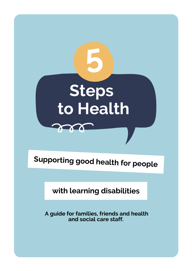

**Supporting good health for people**

**with learning disabilities**

**A guide for families, friends and health and social care staff.**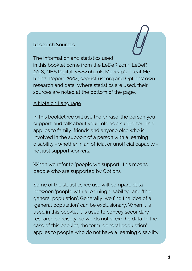#### Research Sources

The information and statistics used

in this booklet come from the LeDeR 2019, LeDeR 2018, NHS Digital, www.nhs.uk, Mencap's 'Treat Me Right!' Report, 2004, sepsistrust.org and Options' own research and data. Where statistics are used, their sources are noted at the bottom of the page.

#### A Note on Language

In this booklet we will use the phrase 'the person you support' and talk about your role as a supporter. This applies to family, friends and anyone else who is involved in the support of a person with a learning disability - whether in an official or unofficial capacity not just support workers.

When we refer to 'people we support', this means people who are supported by Options.

Some of the statistics we use will compare data between 'people with a learning disability', and 'the general population'. Generally, we find the idea of a 'general population' can be exclusionary. When it is used in this booklet it is used to convey secondary research concisely, so we do not skew the data. In the case of this booklet, the term 'general population' applies to people who do not have a learning disability.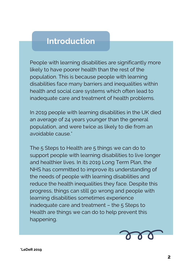#### **Introduction**

People with learning disabilities are significantly more likely to have poorer health than the rest of the population. This is because people with learning disabilities face many barriers and inequalities within health and social care systems which often lead to inadequate care and treatment of health problems.

In 2019 people with learning disabilities in the UK died an average of 24 years younger than the general population, and were twice as likely to die from an avoidable cause.\*

The 5 Steps to Health are 5 things we can do to support people with learning disabilities to live longer and healthier lives. In its 2019 Long Term Plan, the NHS has committed to improve its understanding of the needs of people with learning disabilities and reduce the health inequalities they face. Despite this progress, things can still go wrong and people with learning disabilities sometimes experience inadequate care and treatment – the 5 Steps to Health are things we can do to help prevent this happening.

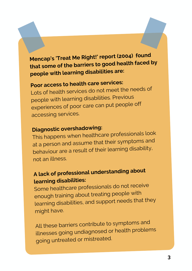**Mencap's 'Treat Me Right!' repor<sup>t</sup> (2004) found that some of the barriers to goo<sup>d</sup> health faced by people with learning disabilities are:**

### **Poor access to health care services:**

Lots of health services do not meet the needs of people with learning disabilities. Previous experiences of poor care can pu<sup>t</sup> people off accessing services.

### **Diagnostic overshadowing:**

This happens when healthcare professionals look at <sup>a</sup> person and assume that their symptoms and behaviour are <sup>a</sup> result of their learning disability, not an illness.

#### **A lack of professional understanding about learning disabilities:**

Some healthcare professionals do not receive enoug<sup>h</sup> training about treating people with learning disabilities, and suppor<sup>t</sup> needs that they might have.

All these barriers contribute to symptoms and illnesses going undiagnose<sup>d</sup> or health problems going untreated or mistreated.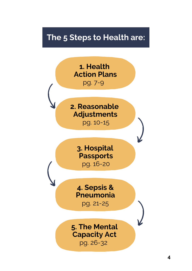# **The 5 Steps to Health are:**

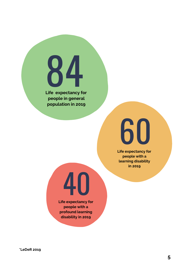

**Life expe ctancy for people in general population in 2019**



**Life expectancy for people with a learning disability in 2019**

**Life expectancy for people with a profound learning disability in 2019**

40

**\*LeDeR 2019**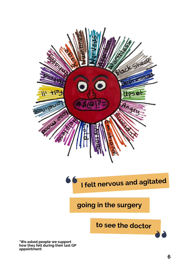

**I felt nervous and agitated**

**going in the surgery**

**to see the doctor**

**\*We asked people we support how they felt during their last GP appointment**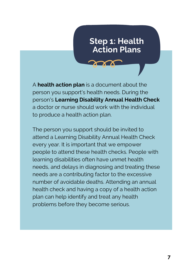## **Step 1: Health Action Plans**

A **health action plan** is a document about the person you support's health needs. During the person's **Learning Disability Annual Health Check** a doctor or nurse should work with the individual to produce a health action plan.

 $\boldsymbol{\gamma}$ 

The person you support should be invited to attend a Learning Disability Annual Health Check every year. It is important that we empower people to attend these health checks. People with learning disabilities often have unmet health needs, and delays in diagnosing and treating these needs are a contributing factor to the excessive number of avoidable deaths. Attending an annual health check and having a copy of a health action plan can help identify and treat any health problems before they become serious.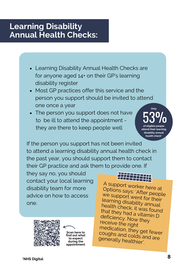### **Learning Disability Annual Health Checks:**

- Learning Disability Annual Health Checks are for anyone aged 14+ on their GP's learning disability register
- Most GP practices offer this service and the person you support should be invited to attend one once a year
- The person you support does not have to be ill to attend the appointment they are there to keep people well

53% **Only of eligible people attend their learning disability annual health check\***

If the person you support has not been invited to attend a learning disability annual health check in the past year, you should support them to contact their GP practice and ask them to provide one. If

they say no, you should contact your local learning disability team for more advice on how to access one.



**Scan here to find out what to expect during the appointment**



 $O<sub>l</sub>$ A support worker here at pi we t s io u ns says: 'After people<br>Innort west f we support went for their learning disability annual<br>health check it w that they had a vitamin D th check, it was found deficie ncy. Now they <sup>receive</sup> the right m co e u d i ghs and colds and are <sup>c</sup>ation, they get fewer<br>hs and colds gener ally healthier'.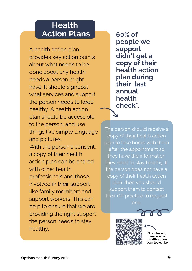## **Health Action Plans**

A health action plan provides key action points about what needs to be done about any health needs a person might have. It should signpost what services and support the person needs to keep healthy. A health action plan should be accessible to the person, and use things like simple language and pictures. With the person's consent, a copy of their health action plan can be shared

with other health professionals and those involved in their support like family members and support workers. This can help to ensure that we are providing the right support the person needs to stay healthy.

**60% of people we support didn't get a copy of their health action plan during their last annual health check\*.**

The person should receive a copy of their health action plan to take home with them after the appointment so they have the information they need to stay healthy. If the person does not have a copy of their health action plan, then you should support them to contact their GP practice to request one.



**Scan here to see what a health action plan looks like**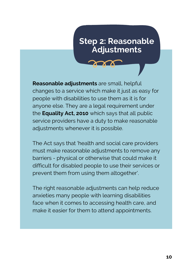# **Step 2: Reasonable Adjustments**

 $\chi \rightarrow \chi \rightarrow \chi$ 

**Reasonable adjustments** are small, helpful changes to a service which make it just as easy for people with disabilities to use them as it is for anyone else. They are a legal requirement under the **Equality Act, 2010** which says that all public service providers have a duty to make reasonable adjustments whenever it is possible.

The Act says that 'health and social care providers must make reasonable adjustments to remove any barriers - physical or otherwise that could make it difficult for disabled people to use their services or prevent them from using them altogether'.

The right reasonable adjustments can help reduce anxieties many people with learning disabilities face when it comes to accessing health care, and make it easier for them to attend appointments.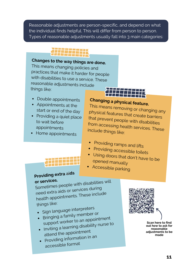Reasonable adjustments are person-specific, and depend on what the individual finds helpful. This will differ from person to person. Types of reasonable adjustments usually fall into 3 main categories:

#### **Changes to the way things are done.**

This means changing policies and practices that make it harder for people with disabilities to use <sup>a</sup> service. These reasonable adjustments include things like:

- Double appointments
- Appointments at the start or end of the day
- Providing a quiet place to wait before appointments
- Home appointments



#### **Changing <sup>a</sup> physical feature.** T

physical features that create barriers h h is <sup>s means removing or changing any<br>Sical features that</sup> tha <sup>t</sup> prevent people with disabilities from accessing health services. These includ <sup>e</sup> things like:

- Providing ramps and lifts
- Providing accessible toilets
- o pened manually Using doors that don't have to be
- Accessible parking

# **Providing extra aids**

**or services.** Sometimes people with disabilities will need extra aids or services during health appointments. These include things like:

- Sign language interpreters
- Bringing a family member or
- support worker to an appointmen<sup>t</sup> • Inviting a learning disability nurse to
- attend the appointmen<sup>t</sup>
- Providing information in an accessible format



**Scan here to find out how to ask for reasonable adjustments to be made**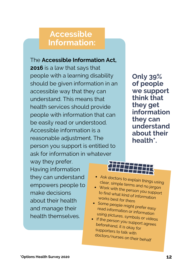### **Accessible Information:**

#### The **Accessible Information Act,**

**2016** is a law that says that people with a learning disability should be given information in an accessible way that they can understand. This means that health services should provide people with information that can be easily read or understood. Accessible information is a reasonable adjustment. The person you support is entitled to ask for information in whatever

way they prefer. Having information they can understand empowers people to make decisions about their health and manage their health themselves.

**39 % about their** they get **Only 39% of people we support think that information they can understand health\*.**



- c A. l s e k ar d o si Ci <sup>ctors</sup> to explain things using<br>mple terms.c clear, simple terms and no jargon
- Work wi to find <sup>w</sup> it <sup>h</sup> the person you support hat kind of information Works best for them
- r  $\mathsf{S}$ e o a  $m\epsilon$ d e in people might prefer easy using p read information or information
- If the p pictures, symbols or videos " the person you support agrees beforehand, it is okay for supporters to talk with doctors/nurses on their behalf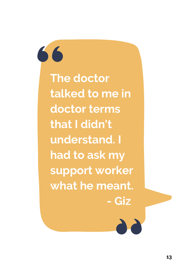**The doctor talked to me in doctor terms that I didn't understand. I had to ask my support worker what he meant. - Giz**

66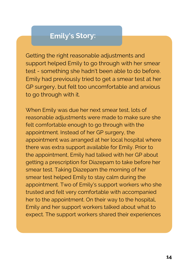#### **Emily's Story:**

Getting the right reasonable adjustments and support helped Emily to go through with her smear test - something she hadn't been able to do before. Emily had previously tried to get a smear test at her GP surgery, but felt too uncomfortable and anxious to go through with it.

When Emily was due her next smear test, lots of reasonable adjustments were made to make sure she felt comfortable enough to go through with the appointment. Instead of her GP surgery, the appointment was arranged at her local hospital where there was extra support available for Emily. Prior to the appointment, Emily had talked with her GP about getting a prescription for Diazepam to take before her smear test. Taking Diazepam the morning of her smear test helped Emily to stay calm during the appointment. Two of Emily's support workers who she trusted and felt very comfortable with accompanied her to the appointment. On their way to the hospital, Emily and her support workers talked about what to expect. The support workers shared their experiences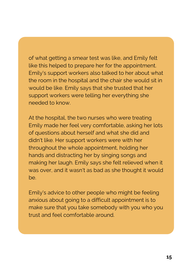of what getting a smear test was like, and Emily felt like this helped to prepare her for the appointment. Emily's support workers also talked to her about what the room in the hospital and the chair she would sit in would be like. Emily says that she trusted that her support workers were telling her everything she needed to know.

At the hospital, the two nurses who were treating Emily made her feel very comfortable, asking her lots of questions about herself and what she did and didn't like. Her support workers were with her throughout the whole appointment, holding her hands and distracting her by singing songs and making her laugh. Emily says she felt relieved when it was over, and it wasn't as bad as she thought it would be.

Emily's advice to other people who might be feeling anxious about going to a difficult appointment is to make sure that you take somebody with you who you trust and feel comfortable around.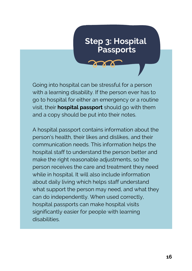## **Step 3: Hospital Passports**

Going into hospital can be stressful for a person with a learning disability. If the person ever has to go to hospital for either an emergency or a routine visit, their **hospital passport** should go with them and a copy should be put into their notes.

 $\chi \rightarrow \chi \rightarrow \chi$ 

A hospital passport contains information about the person's health, their likes and dislikes, and their communication needs. This information helps the hospital staff to understand the person better and make the right reasonable adjustments, so the person receives the care and treatment they need while in hospital. It will also include information about daily living which helps staff understand what support the person may need, and what they can do independently. When used correctly, hospital passports can make hospital visits significantly easier for people with learning disabilities.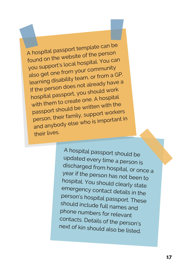A hospital passport template can be found on the website of the person you support's local hospital. You can also get one from your community learning disability team, or from <sup>a</sup> GP. If the person does not already have a hospital passport, you should work with them to create one. A hospital passport should be written with the person, their family, support workers and anybody else who is importan<sup>t</sup> in their lives.

> <sup>A</sup> hospital passport should be updated every time <sup>a</sup> person is discharged from hospital, or once <sup>a</sup> year if the person has not been to hospital. You should clearly state emergency contact details in the person's hospital passport. These should include full names and phone numbers for relevant contacts. Details of the person's next of kin should also be listed.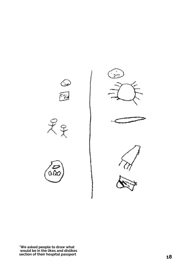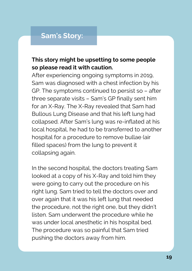#### **Sam's Story:**

#### **This story might be upsetting to some people so please read it with caution.**

After experiencing ongoing symptoms in 2019, Sam was diagnosed with a chest infection by his GP. The symptoms continued to persist so – after three separate visits – Sam's GP finally sent him for an X-Ray. The X-Ray revealed that Sam had Bullous Lung Disease and that his left lung had collapsed. After Sam's lung was re-inflated at his local hospital, he had to be transferred to another hospital for a procedure to remove bullae (air filled spaces) from the lung to prevent it collapsing again.

In the second hospital, the doctors treating Sam looked at a copy of his X-Ray and told him they were going to carry out the procedure on his right lung. Sam tried to tell the doctors over and over again that it was his left lung that needed the procedure, not the right one, but they didn't listen. Sam underwent the procedure while he was under local anesthetic in his hospital bed. The procedure was so painful that Sam tried pushing the doctors away from him.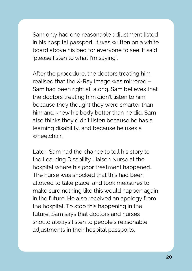Sam only had one reasonable adjustment listed in his hospital passport. It was written on a white board above his bed for everyone to see. It said 'please listen to what I'm saying'.

After the procedure, the doctors treating him realised that the X-Ray image was mirrored – Sam had been right all along. Sam believes that the doctors treating him didn't listen to him because they thought they were smarter than him and knew his body better than he did. Sam also thinks they didn't listen because he has a learning disability, and because he uses a wheelchair.

Later, Sam had the chance to tell his story to the Learning Disability Liaison Nurse at the hospital where his poor treatment happened. The nurse was shocked that this had been allowed to take place, and took measures to make sure nothing like this would happen again in the future. He also received an apology from the hospital. To stop this happening in the future, Sam says that doctors and nurses should always listen to people's reasonable adjustments in their hospital passports.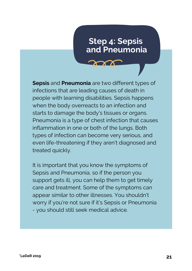### **Step 4: Sepsis and Pneumonia**

**Sepsis** and **Pneumonia** are two different types of infections that are leading causes of death in people with learning disabilities. Sepsis happens when the body overreacts to an infection and starts to damage the body's tissues or organs. Pneumonia is a type of chest infection that causes inflammation in one or both of the lungs. Both types of infection can become very serious, and even life-threatening if they aren't diagnosed and treated quickly.

 $\curvearrowright x$ 

It is important that you know the symptoms of Sepsis and Pneumonia, so if the person you support gets ill, you can help them to get timely care and treatment. Some of the symptoms can appear similar to other illnesses. You shouldn't worry if you're not sure if it's Sepsis or Pneumonia - you should still seek medical advice.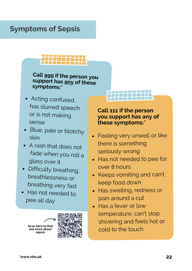### **Symptoms of Sepsis**

**Call <sup>999</sup> if the person you support has any of these symptoms:\***

- Acting confused, has slurred speech or is not making sense
- Blue, pale or blotchy skin
- <sup>A</sup> rash that does not fade when you roll <sup>a</sup> glass over it
- Difficulty breathing, breathlessness or breathing very fast
- Has not needed to pee all day

**Scan here to find out more about sepsis**



#### <del>g na mara a</del> na h <del>, , , , , , , , , , , , , ,</del>

**Call 111 if the person you support has any of these symptoms:\***

- Feeling very unwell or like there is something seriously wrong
- Has not needed to pee for over 8 hours
- Keeps vomiting and can't keep food down
- Has swelling, redness or pain around <sup>a</sup> cut
- Has <sup>a</sup> fever or low temperature, can't stop shivering and feels hot or cold to the touch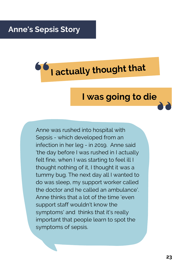# **I actually thought that**

# **I was going to die**

thought nothing of it, I thought it was a tummy bug. The next day all I wanted to do was sleep, my support worker called the doctor and he called an ambulance'. Anne thinks that a lot of the time 'even support staff wouldn't know the symptoms' and thinks that it's really important that people learn to spot the symptoms of sepsis. Anne was rushed into hospital with Sepsis - which developed from an infection in her leg - in 2019. Anne said 'the day before I was rushed in I actually felt fine, when I was starting to feel ill I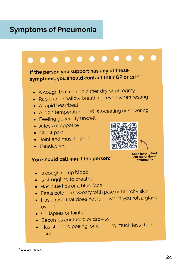### **Symptoms of Pneumonia**

**If the person you suppor<sup>t</sup> has any of these symptoms, you should contact their GP or 111:\***

- A coug<sup>h</sup> that can be either dry or phlegmy
- Rapid and shallow breathing, even when resting
- A rapid heartbeat
- A high temperature, and is sweating or shivering
- Feeling generally unwell
- A loss of appetite
- Chest pain
- Joint and muscle pain
- Headaches



#### **You should call 999 if the person:\***

**Scan here to find out more about pneumonia**

- Is coughing up blood
- Is struggling to breathe
- Has blue lips or a blue face
- **Feels cold and sweaty with pale or blotchy skin**
- Has <sup>a</sup> rash that does not fade when you roll <sup>a</sup> glass over it
- Collapses or faints
- **Becomes confused or drowsy**
- Has stopped peeing, or is peeing much less than usual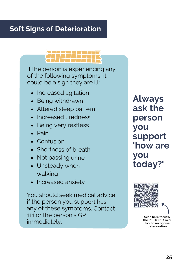If the person is experiencing any of the following symptoms, it could be a sign they are ill:

- Increased agitation
- Being withdrawn
- Altered sleep pattern
- Increased tiredness
- Being very restless
- $\bullet$  Pain
- Confusion
- Shortness of breath
- Not passing urine
- Unsteady when walking
- Increased anxiety

You should seek medical advice if the person you support has any of these symptoms. Contact <sup>111</sup> or the person's GP immediately.

**Always ask the person you support 'how are you today?'**



**tool to recognise deterioration**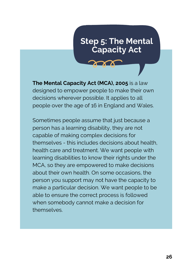# **Step 5: The Mental Capacity Act**

**The Mental Capacity Act (MCA), 2005** is a law designed to empower people to make their own decisions wherever possible. It applies to all people over the age of 16 in England and Wales.

 $\gamma \rightarrow \gamma \gamma$ 

Sometimes people assume that just because a person has a learning disability, they are not capable of making complex decisions for themselves - this includes decisions about health, health care and treatment. We want people with learning disabilities to know their rights under the MCA, so they are empowered to make decisions about their own health. On some occasions, the person you support may not have the capacity to make a particular decision. We want people to be able to ensure the correct process is followed when somebody cannot make a decision for themselves.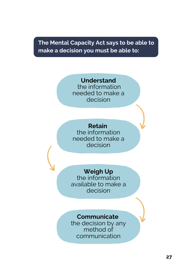**The Mental Capacity Act says to be able to make a decision you must be able to:**

> **Understand** the information needed to make a decision

**Retain** the information needed to make a decision

**Weigh Up**

the information available to make a decision

**Communicate**

the decision by any method of communication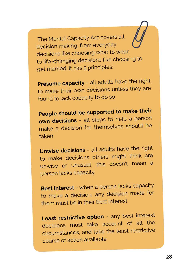The Mental Capacity Act covers all decision making, from everyday decisions like choosing what to wear, to life-changing decisions like choosing to ge<sup>t</sup> married. It has <sup>5</sup> principles:

**Presume capacity** - all adults have the right to make their own decisions unless they are found to lack capacity to do so

**People should be supported to make their own decisions** - all steps to help <sup>a</sup> person make <sup>a</sup> decision for themselves should be taken

**Unwise decisions** - all adults have the right to make decisions others might think are unwise or unusual, this doesn't mean <sup>a</sup> person lacks capacity

**Best interest** - when <sup>a</sup> person lacks capacity to make <sup>a</sup> decision, any decision made for them must be in their best interest

**Least restrictive option** - any best interest decisions must take account of all the circumstances, and take the least restrictive course of action available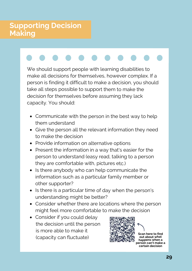We should support people with learning disabilities to make all decisions for themselves, however complex. If <sup>a</sup> person is finding it difficult to make <sup>a</sup> decision, you should take all steps possible to support them to make the decision for themselves before assuming they lack capacity. You should:

- Communicate with the person in the best way to help them understand
- Give the person all the relevant information they need to make the decision
- Provide information on alternative options
- Present the information in a way that's easier for the person to understand (easy read, talking to <sup>a</sup> person they are comfortable with, pictures etc.)
- Is there anybody who can help communicate the information such as <sup>a</sup> particular family member or other supporter?
- Is there is a particular time of day when the person's understanding might be better?
- Consider whether there are locations where the person might feel more comfortable to make the decision
- Consider if you could delay the decision until the person is more able to make it (capacity can fluctuate)



**Scan here to find out about what happens when <sup>a</sup> person can't make <sup>a</sup> certain decision**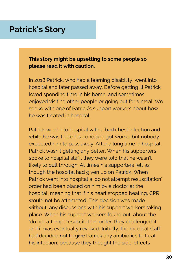## **Patrick's Story**

**This story might be upsetting to some people so please read it with caution.**

In 2018 Patrick, who had a learning disability, went into hospital and later passed away. Before getting ill Patrick loved spending time in his home, and sometimes enjoyed visiting other people or going out for a meal. We spoke with one of Patrick's support workers about how he was treated in hospital.

Patrick went into hospital with a bad chest infection and while he was there his condition got worse, but nobody expected him to pass away. After a long time in hospital Patrick wasn't getting any better. When his supporters spoke to hospital staff, they were told that he wasn't likely to pull through. At times his supporters felt as though the hospital had given up on Patrick. When Patrick went into hospital a 'do not attempt resuscitation' order had been placed on him by a doctor at the hospital, meaning that if his heart stopped beating, CPR would not be attempted. This decision was made without any discussions with his support workers taking place. When his support workers found out about the 'do not attempt resuscitation' order, they challenged it and it was eventually revoked. Initially, the medical staff had decided not to give Patrick any antibiotics to treat his infection, because they thought the side-effects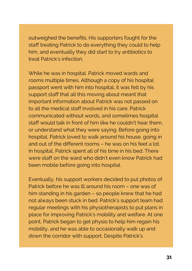outweighed the benefits. His supporters fought for the staff treating Patrick to do everything they could to help him, and eventually they did start to try antibiotics to treat Patrick's infection.

While he was in hospital, Patrick moved wards and rooms multiple times. Although a copy of his hospital passport went with him into hospital, it was felt by his support staff that all this moving about meant that important information about Patrick was not passed on to all the medical staff involved in his care. Patrick communicated without words, and sometimes hospital staff would talk in front of him like he couldn't hear them, or understand what they were saying. Before going into hospital, Patrick loved to walk around his house, going in and out of the different rooms – he was on his feet a lot. In hospital, Patrick spent all of his time in his bed. There were staff on the ward who didn't even know Patrick had been mobile before going into hospital.

Eventually, his support workers decided to put photos of Patrick before he was ill around his room – one was of him standing in his garden – so people knew that he had not always been stuck in bed. Patrick's support team had regular meetings with his physiotherapists to put plans in place for improving Patrick's mobility and welfare. At one point, Patrick began to get physio to help him regain his mobility, and he was able to occasionally walk up and down the corridor with support. Despite Patrick's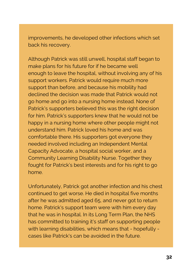improvements, he developed other infections which set back his recovery.

Although Patrick was still unwell, hospital staff began to make plans for his future for if he became well enough to leave the hospital, without involving any of his support workers. Patrick would require much more support than before, and because his mobility had declined the decision was made that Patrick would not go home and go into a nursing home instead. None of Patrick's supporters believed this was the right decision for him. Patrick's supporters knew that he would not be happy in a nursing home where other people might not understand him. Patrick loved his home and was comfortable there. His supporters got everyone they needed involved including an Independent Mental Capacity Advocate, a hospital social worker, and a Community Learning Disability Nurse. Together they fought for Patrick's best interests and for his right to go home.

Unfortunately, Patrick got another infection and his chest continued to get worse. He died in hospital five months after he was admitted aged 65, and never got to return home. Patrick's support team were with him every day that he was in hospital. In its Long Term Plan, the NHS has committed to training it's staff on supporting people with learning disabilities, which means that - hopefully cases like Patrick's can be avoided in the future.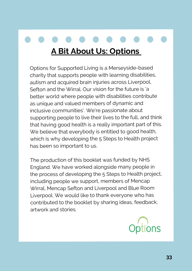# **A Bit About Us: Options**

Options for Supported Living is <sup>a</sup> Merseyside-based charity that supports people with learning disabilities, autism and acquired brain injuries across Liverpool, Sefton and the Wirral. Our vision for the future is 'a better world where people with disabilities contribute as unique and valued members of dynamic and inclusive communities'. We're passionate about supporting people to live their lives to the full, and think that having good health is <sup>a</sup> really important part of this. We believe that everybody is entitled to good health, which is why developing the 5 Steps to Health project has been so important to us.

The production of this booklet was funded by NHS England. We have worked alongside many people in the process of developing the 5 Steps to Health project, including people we support, members of Mencap Wirral, Mencap Sefton and Liverpool and Blue Room Liverpool. We would like to thank everyone who has contributed to the booklet by sharing ideas, feedback, artwork and stories.

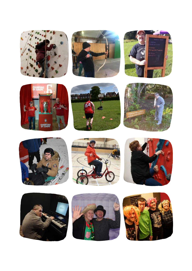